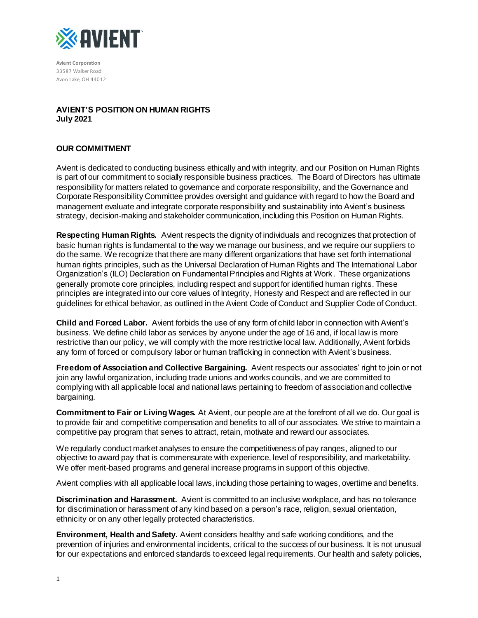

**Avient Corporation** 33587 Walker Road Avon Lake, OH 44012

# **AVIENT'S POSITION ON HUMAN RIGHTS July 2021**

# **OUR COMMITMENT**

Avient is dedicated to conducting business ethically and with integrity, and our Position on Human Rights is part of our commitment to socially responsible business practices. The Board of Directors has ultimate responsibility for matters related to governance and corporate responsibility, and the Governance and Corporate Responsibility Committee provides oversight and guidance with regard to how the Board and management evaluate and integrate corporate responsibility and sustainability into Avient's business strategy, decision-making and stakeholder communication, including this Position on Human Rights.

**Respecting Human Rights.** Avient respects the dignity of individuals and recognizes that protection of basic human rights is fundamental to the way we manage our business, and we require our suppliers to do the same. We recognize that there are many different organizations that have set forth international human rights principles, such as the Universal Declaration of Human Rights and The International Labor Organization's (ILO) Declaration on Fundamental Principles and Rights at Work. These organizations generally promote core principles, including respect and support for identified human rights. These principles are integrated into our core values of Integrity, Honesty and Respect and are reflected in our guidelines for ethical behavior, as outlined in the Avient Code of Conduct and Supplier Code of Conduct.

**Child and Forced Labor.** Avient forbids the use of any form of child labor in connection with Avient's business. We define child labor as services by anyone under the age of 16 and, if local law is more restrictive than our policy, we will comply with the more restrictive local law. Additionally, Avient forbids any form of forced or compulsory labor or human trafficking in connection with Avient's business.

**Freedom of Association and Collective Bargaining.** Avient respects our associates' right to join or not join any lawful organization, including trade unions and works councils, and we are committed to complying with all applicable local and national laws pertaining to freedom of association and collective bargaining.

**Commitment to Fair or Living Wages.** At Avient, our people are at the forefront of all we do. Our goal is to provide fair and competitive compensation and benefits to all of our associates. We strive to maintain a competitive pay program that serves to attract, retain, motivate and reward our associates.

We regularly conduct market analyses to ensure the competitiveness of pay ranges, aligned to our objective to award pay that is commensurate with experience, level of responsibility, and marketability. We offer merit-based programs and general increase programs in support of this objective.

Avient complies with all applicable local laws, including those pertaining to wages, overtime and benefits.

**Discrimination and Harassment.** Avient is committed to an inclusive workplace, and has no tolerance for discrimination or harassment of any kind based on a person's race, religion, sexual orientation, ethnicity or on any other legally protected characteristics.

**Environment, Health and Safety.** Avient considers healthy and safe working conditions, and the prevention of injuries and environmental incidents, critical to the success of our business. It is not unusual for our expectations and enforced standards to exceed legal requirements. Our health and safety policies,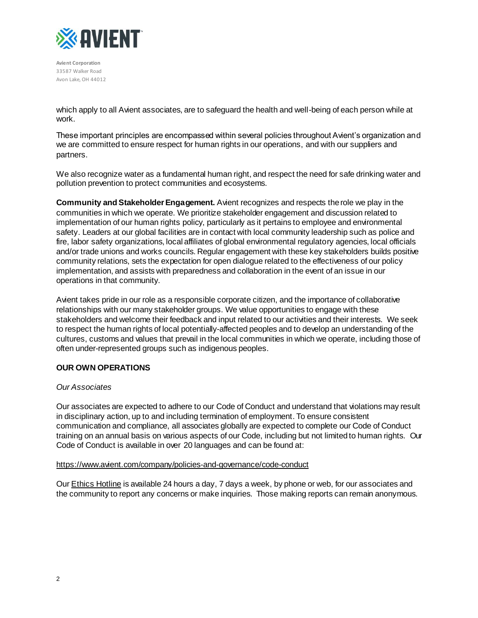

**Avient Corporation** 33587 Walker Road Avon Lake, OH 44012

which apply to all Avient associates, are to safeguard the health and well-being of each person while at work.

These important principles are encompassed within several policies throughout Avient's organization and we are committed to ensure respect for human rights in our operations, and with our suppliers and partners.

We also recognize water as a fundamental human right, and respect the need for safe drinking water and pollution prevention to protect communities and ecosystems.

**Community and Stakeholder Engagement.** Avient recognizes and respects the role we play in the communities in which we operate. We prioritize stakeholder engagement and discussion related to implementation of our human rights policy, particularly as it pertains to employee and environmental safety. Leaders at our global facilities are in contact with local community leadership such as police and fire, labor safety organizations, local affiliates of global environmental regulatory agencies, local officials and/or trade unions and works councils. Regular engagement with these key stakeholders builds positive community relations, sets the expectation for open dialogue related to the effectiveness of our policy implementation, and assists with preparedness and collaboration in the event of an issue in our operations in that community.

Avient takes pride in our role as a responsible corporate citizen, and the importance of collaborative relationships with our many stakeholder groups. We value opportunities to engage with these stakeholders and welcome their feedback and input related to our activities and their interests. We seek to respect the human rights of local potentially-affected peoples and to develop an understanding of the cultures, customs and values that prevail in the local communities in which we operate, including those of often under-represented groups such as indigenous peoples.

## **OUR OWN OPERATIONS**

## *Our Associates*

Our associates are expected to adhere to our Code of Conduct and understand that violations may result in disciplinary action, up to and including termination of employment. To ensure consistent communication and compliance, all associates globally are expected to complete our Code of Conduct training on an annual basis on various aspects of our Code, including but not limited to human rights. Our Code of Conduct is available in over 20 languages and can be found at:

#### <https://www.avient.com/company/policies-and-governance/code-conduct>

Ou[r Ethics Hotline](https://secure.ethicspoint.com/domain/media/en/gui/49178/index.html) is available 24 hours a day, 7 days a week, by phone or web, for our associates and the community to report any concerns or make inquiries. Those making reports can remain anonymous.